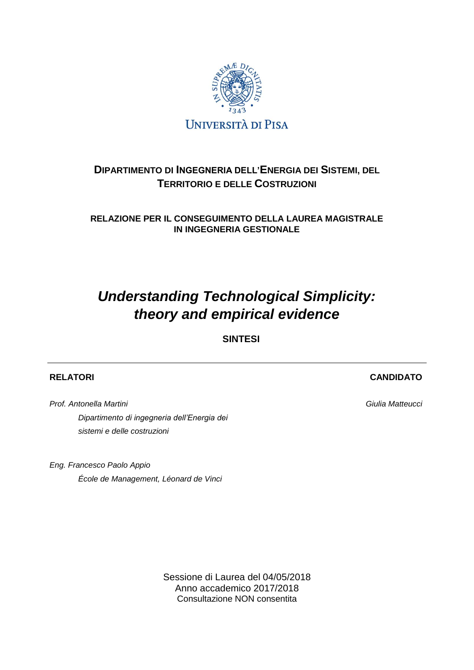

# **DIPARTIMENTO DI INGEGNERIA DELL'ENERGIA DEI SISTEMI, DEL TERRITORIO E DELLE COSTRUZIONI**

**RELAZIONE PER IL CONSEGUIMENTO DELLA LAUREA MAGISTRALE IN INGEGNERIA GESTIONALE**

# *Understanding Technological Simplicity: theory and empirical evidence*

**SINTESI**

# **RELATORI**

*Prof. Antonella Martini Dipartimento di ingegneria dell'Energia dei sistemi e delle costruzioni*

*Eng. Francesco Paolo Appio École de Management, Léonard de Vinci*

> Sessione di Laurea del 04/05/2018 Anno accademico 2017/2018 Consultazione NON consentita

**CANDIDATO**

*Giulia Matteucci*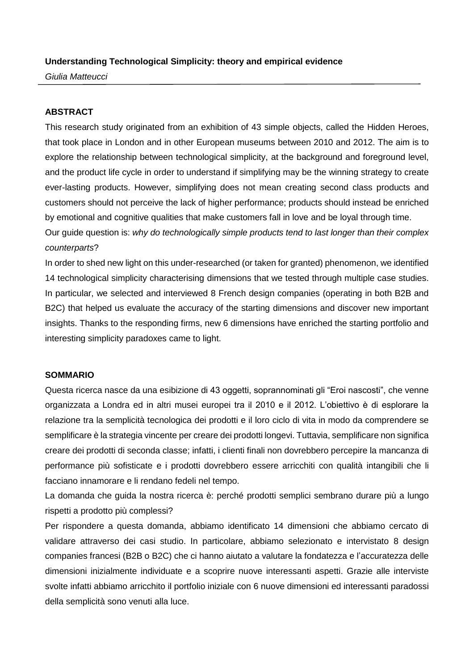# **Understanding Technological Simplicity: theory and empirical evidence**

*Giulia Matteucci*

# **ABSTRACT**

This research study originated from an exhibition of 43 simple objects, called the Hidden Heroes, that took place in London and in other European museums between 2010 and 2012. The aim is to explore the relationship between technological simplicity, at the background and foreground level, and the product life cycle in order to understand if simplifying may be the winning strategy to create ever-lasting products. However, simplifying does not mean creating second class products and customers should not perceive the lack of higher performance; products should instead be enriched by emotional and cognitive qualities that make customers fall in love and be loyal through time.

Our guide question is: *why do technologically simple products tend to last longer than their complex counterparts*?

In order to shed new light on this under-researched (or taken for granted) phenomenon, we identified 14 technological simplicity characterising dimensions that we tested through multiple case studies. In particular, we selected and interviewed 8 French design companies (operating in both B2B and B2C) that helped us evaluate the accuracy of the starting dimensions and discover new important insights. Thanks to the responding firms, new 6 dimensions have enriched the starting portfolio and interesting simplicity paradoxes came to light.

# **SOMMARIO**

Questa ricerca nasce da una esibizione di 43 oggetti, soprannominati gli "Eroi nascosti", che venne organizzata a Londra ed in altri musei europei tra il 2010 e il 2012. L'obiettivo è di esplorare la relazione tra la semplicità tecnologica dei prodotti e il loro ciclo di vita in modo da comprendere se semplificare è la strategia vincente per creare dei prodotti longevi. Tuttavia, semplificare non significa creare dei prodotti di seconda classe; infatti, i clienti finali non dovrebbero percepire la mancanza di performance più sofisticate e i prodotti dovrebbero essere arricchiti con qualità intangibili che li facciano innamorare e li rendano fedeli nel tempo.

La domanda che guida la nostra ricerca è: perché prodotti semplici sembrano durare più a lungo rispetti a prodotto più complessi?

Per rispondere a questa domanda, abbiamo identificato 14 dimensioni che abbiamo cercato di validare attraverso dei casi studio. In particolare, abbiamo selezionato e intervistato 8 design companies francesi (B2B o B2C) che ci hanno aiutato a valutare la fondatezza e l'accuratezza delle dimensioni inizialmente individuate e a scoprire nuove interessanti aspetti. Grazie alle interviste svolte infatti abbiamo arricchito il portfolio iniziale con 6 nuove dimensioni ed interessanti paradossi della semplicità sono venuti alla luce.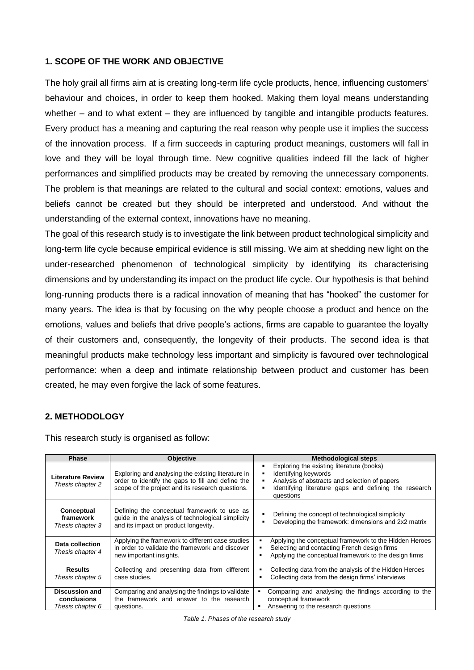# **1. SCOPE OF THE WORK AND OBJECTIVE**

The holy grail all firms aim at is creating long-term life cycle products, hence, influencing customers' behaviour and choices, in order to keep them hooked. Making them loyal means understanding whether – and to what extent – they are influenced by tangible and intangible products features. Every product has a meaning and capturing the real reason why people use it implies the success of the innovation process. If a firm succeeds in capturing product meanings, customers will fall in love and they will be loyal through time. New cognitive qualities indeed fill the lack of higher performances and simplified products may be created by removing the unnecessary components. The problem is that meanings are related to the cultural and social context: emotions, values and beliefs cannot be created but they should be interpreted and understood. And without the understanding of the external context, innovations have no meaning.

The goal of this research study is to investigate the link between product technological simplicity and long-term life cycle because empirical evidence is still missing. We aim at shedding new light on the under-researched phenomenon of technological simplicity by identifying its characterising dimensions and by understanding its impact on the product life cycle. Our hypothesis is that behind long-running products there is a radical innovation of meaning that has "hooked" the customer for many years. The idea is that by focusing on the why people choose a product and hence on the emotions, values and beliefs that drive people's actions, firms are capable to guarantee the loyalty of their customers and, consequently, the longevity of their products. The second idea is that meaningful products make technology less important and simplicity is favoured over technological performance: when a deep and intimate relationship between product and customer has been created, he may even forgive the lack of some features.

# **2. METHODOLOGY**

This research study is organised as follow:

| <b>Phase</b>                                             | <b>Objective</b>                                                                                                                                            | <b>Methodological steps</b>                                                                                                                                                              |
|----------------------------------------------------------|-------------------------------------------------------------------------------------------------------------------------------------------------------------|------------------------------------------------------------------------------------------------------------------------------------------------------------------------------------------|
| <b>Literature Review</b><br>Thesis chapter 2             | Exploring and analysing the existing literature in<br>order to identify the gaps to fill and define the<br>scope of the project and its research questions. | Exploring the existing literature (books)<br>Identifying keywords<br>Analysis of abstracts and selection of papers<br>Identifying literature gaps and defining the research<br>questions |
| Conceptual<br>framework<br>Thesis chapter 3              | Defining the conceptual framework to use as<br>guide in the analysis of technological simplicity<br>and its impact on product longevity.                    | Defining the concept of technological simplicity<br>Developing the framework: dimensions and 2x2 matrix                                                                                  |
| Data collection<br>Thesis chapter 4                      | Applying the framework to different case studies<br>in order to validate the framework and discover<br>new important insights.                              | Applying the conceptual framework to the Hidden Heroes<br>Selecting and contacting French design firms<br>Applying the conceptual framework to the design firms<br>٠                     |
| <b>Results</b><br>Thesis chapter 5                       | Collecting and presenting data from different<br>case studies.                                                                                              | Collecting data from the analysis of the Hidden Heroes<br>٠<br>Collecting data from the design firms' interviews<br>٠                                                                    |
| <b>Discussion and</b><br>conclusions<br>Thesis chapter 6 | Comparing and analysing the findings to validate<br>the framework and answer to the research<br>questions.                                                  | Comparing and analysing the findings according to the<br>conceptual framework<br>Answering to the research questions                                                                     |

*Table 1. Phases of the research study*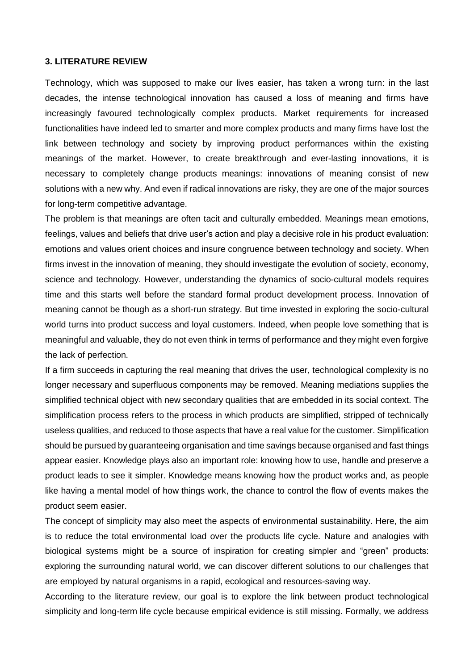# **3. LITERATURE REVIEW**

Technology, which was supposed to make our lives easier, has taken a wrong turn: in the last decades, the intense technological innovation has caused a loss of meaning and firms have increasingly favoured technologically complex products. Market requirements for increased functionalities have indeed led to smarter and more complex products and many firms have lost the link between technology and society by improving product performances within the existing meanings of the market. However, to create breakthrough and ever-lasting innovations, it is necessary to completely change products meanings: innovations of meaning consist of new solutions with a new why. And even if radical innovations are risky, they are one of the major sources for long-term competitive advantage.

The problem is that meanings are often tacit and culturally embedded. Meanings mean emotions, feelings, values and beliefs that drive user's action and play a decisive role in his product evaluation: emotions and values orient choices and insure congruence between technology and society. When firms invest in the innovation of meaning, they should investigate the evolution of society, economy, science and technology. However, understanding the dynamics of socio-cultural models requires time and this starts well before the standard formal product development process. Innovation of meaning cannot be though as a short-run strategy. But time invested in exploring the socio-cultural world turns into product success and loyal customers. Indeed, when people love something that is meaningful and valuable, they do not even think in terms of performance and they might even forgive the lack of perfection.

If a firm succeeds in capturing the real meaning that drives the user, technological complexity is no longer necessary and superfluous components may be removed. Meaning mediations supplies the simplified technical object with new secondary qualities that are embedded in its social context. The simplification process refers to the process in which products are simplified, stripped of technically useless qualities, and reduced to those aspects that have a real value for the customer. Simplification should be pursued by guaranteeing organisation and time savings because organised and fast things appear easier. Knowledge plays also an important role: knowing how to use, handle and preserve a product leads to see it simpler. Knowledge means knowing how the product works and, as people like having a mental model of how things work, the chance to control the flow of events makes the product seem easier.

The concept of simplicity may also meet the aspects of environmental sustainability. Here, the aim is to reduce the total environmental load over the products life cycle. Nature and analogies with biological systems might be a source of inspiration for creating simpler and "green" products: exploring the surrounding natural world, we can discover different solutions to our challenges that are employed by natural organisms in a rapid, ecological and resources-saving way.

According to the literature review, our goal is to explore the link between product technological simplicity and long-term life cycle because empirical evidence is still missing. Formally, we address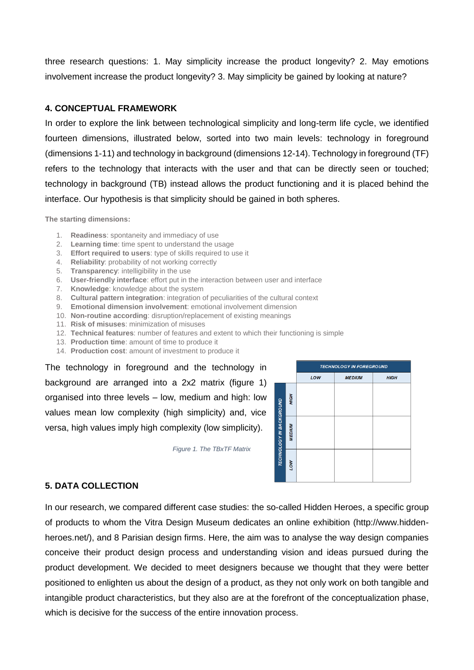three research questions: 1. May simplicity increase the product longevity? 2. May emotions involvement increase the product longevity? 3. May simplicity be gained by looking at nature?

# **4. CONCEPTUAL FRAMEWORK**

In order to explore the link between technological simplicity and long-term life cycle, we identified fourteen dimensions, illustrated below, sorted into two main levels: technology in foreground (dimensions 1-11) and technology in background (dimensions 12-14). Technology in foreground (TF) refers to the technology that interacts with the user and that can be directly seen or touched; technology in background (TB) instead allows the product functioning and it is placed behind the interface. Our hypothesis is that simplicity should be gained in both spheres.

**The starting dimensions:**

- 1. **Readiness**: spontaneity and immediacy of use
- 2. **Learning time**: time spent to understand the usage
- 3. **Effort required to users**: type of skills required to use it
- 4. **Reliability**: probability of not working correctly
- 5. **Transparency**: intelligibility in the use
- 6. **User-friendly interface**: effort put in the interaction between user and interface
- 7. **Knowledge**: knowledge about the system
- 8. **Cultural pattern integration**: integration of peculiarities of the cultural context
- 9. **Emotional dimension involvement**: emotional involvement dimension
- 10. **Non-routine according**: disruption/replacement of existing meanings
- 11. **Risk of misuses**: minimization of misuses
- 12. **Technical features**: number of features and extent to which their functioning is simple
- 13. **Production time**: amount of time to produce it
- 14. **Production cost**: amount of investment to produce it

The technology in foreground and the technology in background are arranged into a 2x2 matrix (figure 1) organised into three levels – low, medium and high: low values mean low complexity (high simplicity) and, vice versa, high values imply high complexity (low simplicity).

**TECHNOLOGY IN FOREGROUND** LOW **MEDIUM HIGH** HOH **TECHNOLOGY IN BACKGROUND MEDIUM** NO.

*Figure 1. The TBxTF Matrix*

# **5. DATA COLLECTION**

In our research, we compared different case studies: the so-called Hidden Heroes, a specific group of products to whom the Vitra Design Museum dedicates an online exhibition (http://www.hiddenheroes.net/), and 8 Parisian design firms. Here, the aim was to analyse the way design companies conceive their product design process and understanding vision and ideas pursued during the product development. We decided to meet designers because we thought that they were better positioned to enlighten us about the design of a product, as they not only work on both tangible and intangible product characteristics, but they also are at the forefront of the conceptualization phase, which is decisive for the success of the entire innovation process.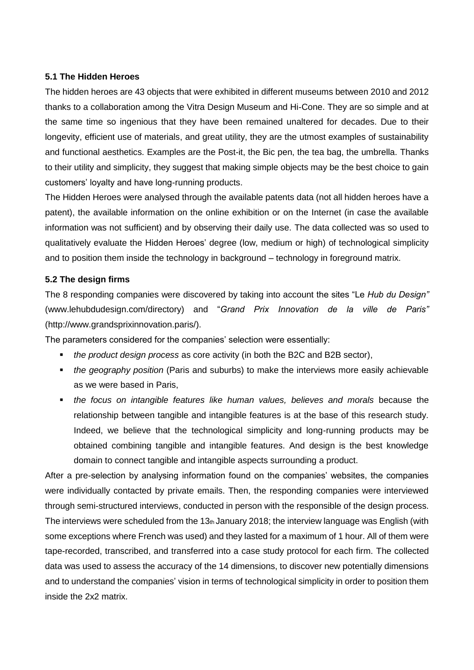# **5.1 The Hidden Heroes**

The hidden heroes are 43 objects that were exhibited in different museums between 2010 and 2012 thanks to a collaboration among the Vitra Design Museum and Hi-Cone. They are so simple and at the same time so ingenious that they have been remained unaltered for decades. Due to their longevity, efficient use of materials, and great utility, they are the utmost examples of sustainability and functional aesthetics. Examples are the Post-it, the Bic pen, the tea bag, the umbrella. Thanks to their utility and simplicity, they suggest that making simple objects may be the best choice to gain customers' loyalty and have long-running products.

The Hidden Heroes were analysed through the available patents data (not all hidden heroes have a patent), the available information on the online exhibition or on the Internet (in case the available information was not sufficient) and by observing their daily use. The data collected was so used to qualitatively evaluate the Hidden Heroes' degree (low, medium or high) of technological simplicity and to position them inside the technology in background – technology in foreground matrix.

# **5.2 The design firms**

The 8 responding companies were discovered by taking into account the sites "Le *Hub du Design"*  (www.lehubdudesign.com/directory) and "*Grand Prix Innovation de la ville de Paris"*  (http://www.grandsprixinnovation.paris/).

The parameters considered for the companies' selection were essentially:

- *the product design process* as core activity (in both the B2C and B2B sector),
- *the geography position* (Paris and suburbs) to make the interviews more easily achievable as we were based in Paris,
- **•** *the focus on intangible features like human values, believes and morals because the* relationship between tangible and intangible features is at the base of this research study. Indeed, we believe that the technological simplicity and long-running products may be obtained combining tangible and intangible features. And design is the best knowledge domain to connect tangible and intangible aspects surrounding a product.

After a pre-selection by analysing information found on the companies' websites, the companies were individually contacted by private emails. Then, the responding companies were interviewed through semi-structured interviews, conducted in person with the responsible of the design process. The interviews were scheduled from the 13th January 2018; the interview language was English (with some exceptions where French was used) and they lasted for a maximum of 1 hour. All of them were tape-recorded, transcribed, and transferred into a case study protocol for each firm. The collected data was used to assess the accuracy of the 14 dimensions, to discover new potentially dimensions and to understand the companies' vision in terms of technological simplicity in order to position them inside the 2x2 matrix.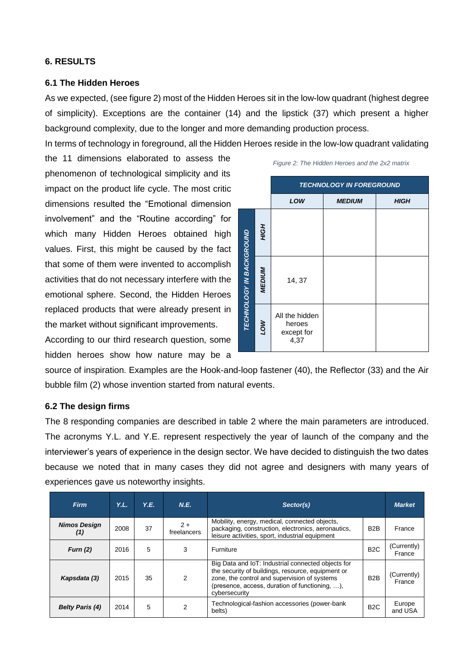# **6. RESULTS**

#### **6.1 The Hidden Heroes**

As we expected, (see figure 2) most of the Hidden Heroes sit in the low-low quadrant (highest degree of simplicity). Exceptions are the container (14) and the lipstick (37) which present a higher background complexity, due to the longer and more demanding production process.

In terms of technology in foreground, all the Hidden Heroes reside in the low-low quadrant validating

the 11 dimensions elaborated to assess the phenomenon of technological simplicity and its impact on the product life cycle. The most critic dimensions resulted the "Emotional dimension involvement" and the "Routine according" for which many Hidden Heroes obtained high values. First, this might be caused by the fact that some of them were invented to accomplish activities that do not necessary interfere with the emotional sphere. Second, the Hidden Heroes replaced products that were already present in the market without significant improvements.

According to our third research question, some hidden heroes show how nature may be a

|                                 |               | <b>TECHNOLOGY IN FOREGROUND</b>                |               |             |  |  |  |
|---------------------------------|---------------|------------------------------------------------|---------------|-------------|--|--|--|
|                                 |               | LOW                                            | <b>MEDIUM</b> | <b>HIGH</b> |  |  |  |
| <b>TECHNOLOGY IN BACKGROUND</b> | HOH           |                                                |               |             |  |  |  |
|                                 | <b>MEDIUM</b> | 14, 37                                         |               |             |  |  |  |
|                                 | MOT           | All the hidden<br>heroes<br>except for<br>4,37 |               |             |  |  |  |

*Figure 2: The Hidden Heroes and the 2x2 matrix*

source of inspiration. Examples are the Hook-and-loop fastener (40), the Reflector (33) and the Air bubble film (2) whose invention started from natural events.

#### **6.2 The design firms**

The 8 responding companies are described in table 2 where the main parameters are introduced. The acronyms Y.L. and Y.E. represent respectively the year of launch of the company and the interviewer's years of experience in the design sector. We have decided to distinguish the two dates because we noted that in many cases they did not agree and designers with many years of experiences gave us noteworthy insights.

| <b>Firm</b>                | Y.L. | Y.E. | N.E.                 | Sector(s)                                                                                                                                                                                                                          |                  | <b>Market</b>         |
|----------------------------|------|------|----------------------|------------------------------------------------------------------------------------------------------------------------------------------------------------------------------------------------------------------------------------|------------------|-----------------------|
| <b>Nimos Design</b><br>(1) | 2008 | 37   | $2 +$<br>freelancers | Mobility, energy, medical, connected objects,<br>packaging, construction, electronics, aeronautics,<br>leisure activities, sport, industrial equipment                                                                             | B <sub>2</sub> B | France                |
| Furn $(2)$                 | 2016 | 5    | 3                    | Furniture                                                                                                                                                                                                                          | B <sub>2</sub> C | (Currently)<br>France |
| Kapsdata (3)               | 2015 | 35   | 2                    | Big Data and IoT: Industrial connected objects for<br>the security of buildings, resource, equipment or<br>zone, the control and supervision of systems<br>(presence, access, duration of functioning, $\dots$ ),<br>cybersecurity | B <sub>2</sub> B | (Currently)<br>France |
| <b>Belty Paris (4)</b>     | 2014 | 5    | 2                    | Technological-fashion accessories (power-bank<br>belts)                                                                                                                                                                            | B <sub>2</sub> C | Europe<br>and USA     |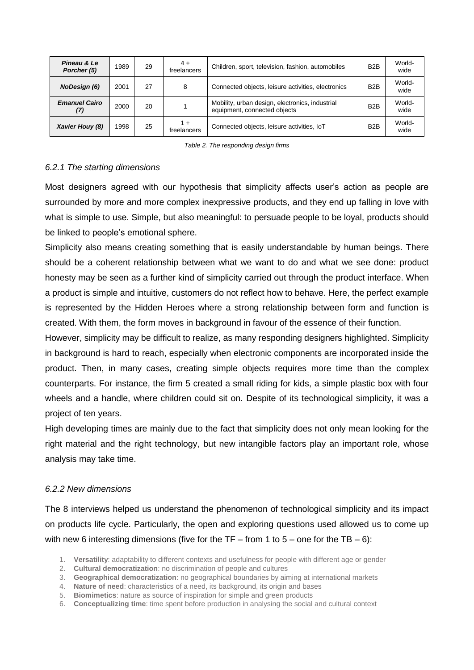| Pineau & Le<br>Porcher (5)  | 1989 | 29 | $4+$<br>freelancers  | Children, sport, television, fashion, automobiles                               | B <sub>2</sub> B | World-<br>wide |
|-----------------------------|------|----|----------------------|---------------------------------------------------------------------------------|------------------|----------------|
| <b>NoDesign (6)</b>         | 2001 | 27 | 8                    | Connected objects, leisure activities, electronics                              | B <sub>2</sub> B | World-<br>wide |
| <b>Emanuel Cairo</b><br>(7) | 2000 | 20 |                      | Mobility, urban design, electronics, industrial<br>equipment, connected objects | B <sub>2</sub> B | World-<br>wide |
| Xavier Houy (8)             | 1998 | 25 | $1 +$<br>freelancers | Connected objects, leisure activities, IoT                                      | B <sub>2</sub> B | World-<br>wide |

*Table 2. The responding design firms*

# *6.2.1 The starting dimensions*

Most designers agreed with our hypothesis that simplicity affects user's action as people are surrounded by more and more complex inexpressive products, and they end up falling in love with what is simple to use. Simple, but also meaningful: to persuade people to be loyal, products should be linked to people's emotional sphere.

Simplicity also means creating something that is easily understandable by human beings. There should be a coherent relationship between what we want to do and what we see done: product honesty may be seen as a further kind of simplicity carried out through the product interface. When a product is simple and intuitive, customers do not reflect how to behave. Here, the perfect example is represented by the Hidden Heroes where a strong relationship between form and function is created. With them, the form moves in background in favour of the essence of their function.

However, simplicity may be difficult to realize, as many responding designers highlighted. Simplicity in background is hard to reach, especially when electronic components are incorporated inside the product. Then, in many cases, creating simple objects requires more time than the complex counterparts. For instance, the firm 5 created a small riding for kids, a simple plastic box with four wheels and a handle, where children could sit on. Despite of its technological simplicity, it was a project of ten years.

High developing times are mainly due to the fact that simplicity does not only mean looking for the right material and the right technology, but new intangible factors play an important role, whose analysis may take time.

# *6.2.2 New dimensions*

The 8 interviews helped us understand the phenomenon of technological simplicity and its impact on products life cycle. Particularly, the open and exploring questions used allowed us to come up with new 6 interesting dimensions (five for the  $TF - from 1 to 5 - one$  for the  $TB - 6$ ):

- 1. **Versatility**: adaptability to different contexts and usefulness for people with different age or gender
- 2. **Cultural democratization**: no discrimination of people and cultures
- 3. **Geographical democratization**: no geographical boundaries by aiming at international markets
- 4. **Nature of need**: characteristics of a need, its background, its origin and bases
- 5. **Biomimetics**: nature as source of inspiration for simple and green products
- 6. **Conceptualizing time**: time spent before production in analysing the social and cultural context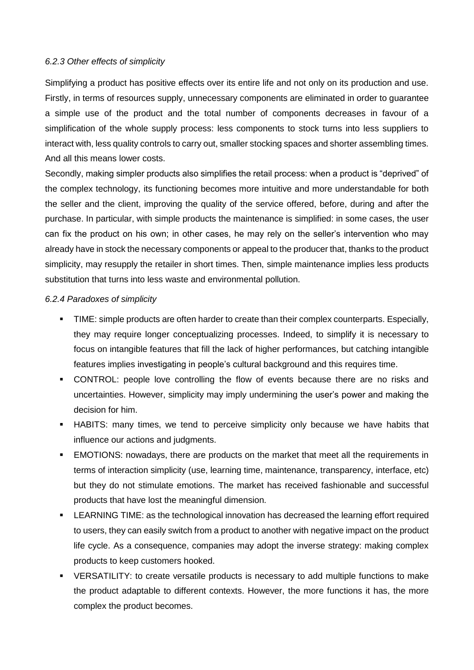# *6.2.3 Other effects of simplicity*

Simplifying a product has positive effects over its entire life and not only on its production and use. Firstly, in terms of resources supply, unnecessary components are eliminated in order to guarantee a simple use of the product and the total number of components decreases in favour of a simplification of the whole supply process: less components to stock turns into less suppliers to interact with, less quality controls to carry out, smaller stocking spaces and shorter assembling times. And all this means lower costs.

Secondly, making simpler products also simplifies the retail process: when a product is "deprived" of the complex technology, its functioning becomes more intuitive and more understandable for both the seller and the client, improving the quality of the service offered, before, during and after the purchase. In particular, with simple products the maintenance is simplified: in some cases, the user can fix the product on his own; in other cases, he may rely on the seller's intervention who may already have in stock the necessary components or appeal to the producer that, thanks to the product simplicity, may resupply the retailer in short times. Then, simple maintenance implies less products substitution that turns into less waste and environmental pollution.

# *6.2.4 Paradoxes of simplicity*

- TIME: simple products are often harder to create than their complex counterparts. Especially, they may require longer conceptualizing processes. Indeed, to simplify it is necessary to focus on intangible features that fill the lack of higher performances, but catching intangible features implies investigating in people's cultural background and this requires time.
- CONTROL: people love controlling the flow of events because there are no risks and uncertainties. However, simplicity may imply undermining the user's power and making the decision for him.
- **.** HABITS: many times, we tend to perceive simplicity only because we have habits that influence our actions and judgments.
- **EMOTIONS:** nowadays, there are products on the market that meet all the requirements in terms of interaction simplicity (use, learning time, maintenance, transparency, interface, etc) but they do not stimulate emotions. The market has received fashionable and successful products that have lost the meaningful dimension.
- **•** LEARNING TIME: as the technological innovation has decreased the learning effort required to users, they can easily switch from a product to another with negative impact on the product life cycle. As a consequence, companies may adopt the inverse strategy: making complex products to keep customers hooked.
- VERSATILITY: to create versatile products is necessary to add multiple functions to make the product adaptable to different contexts. However, the more functions it has, the more complex the product becomes.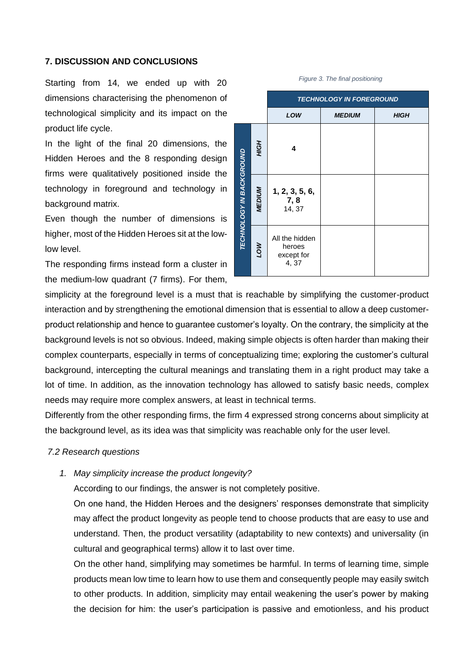# **7. DISCUSSION AND CONCLUSIONS**

Starting from 14, we ended up with 20 dimensions characterising the phenomenon of technological simplicity and its impact on the product life cycle.

In the light of the final 20 dimensions, the Hidden Heroes and the 8 responding design firms were qualitatively positioned inside the technology in foreground and technology in background matrix.

Even though the number of dimensions is higher, most of the Hidden Heroes sit at the lowlow level.

The responding firms instead form a cluster in the medium-low quadrant (7 firms). For them,

# *TECHNOLOGY IN FOREGROUND LOW MEDIUM HIGH HIGH* **4 ECHNOLOGY IN BACKGROUND** *TECHNOLOGY IN BACKGROUND MEDIUM* **1, 2, 3, 5, 6, 7, 8** 14, 37 All the hidden *LOW* heroes except for 4, 37

#### *Figure 3. The final positioning*

simplicity at the foreground level is a must that is reachable by simplifying the customer-product interaction and by strengthening the emotional dimension that is essential to allow a deep customerproduct relationship and hence to guarantee customer's loyalty. On the contrary, the simplicity at the background levels is not so obvious. Indeed, making simple objects is often harder than making their complex counterparts, especially in terms of conceptualizing time; exploring the customer's cultural background, intercepting the cultural meanings and translating them in a right product may take a lot of time. In addition, as the innovation technology has allowed to satisfy basic needs, complex needs may require more complex answers, at least in technical terms.

Differently from the other responding firms, the firm 4 expressed strong concerns about simplicity at the background level, as its idea was that simplicity was reachable only for the user level.

# *7.2 Research questions*

#### *1. May simplicity increase the product longevity?*

According to our findings, the answer is not completely positive.

On one hand, the Hidden Heroes and the designers' responses demonstrate that simplicity may affect the product longevity as people tend to choose products that are easy to use and understand. Then, the product versatility (adaptability to new contexts) and universality (in cultural and geographical terms) allow it to last over time.

On the other hand, simplifying may sometimes be harmful. In terms of learning time, simple products mean low time to learn how to use them and consequently people may easily switch to other products. In addition, simplicity may entail weakening the user's power by making the decision for him: the user's participation is passive and emotionless, and his product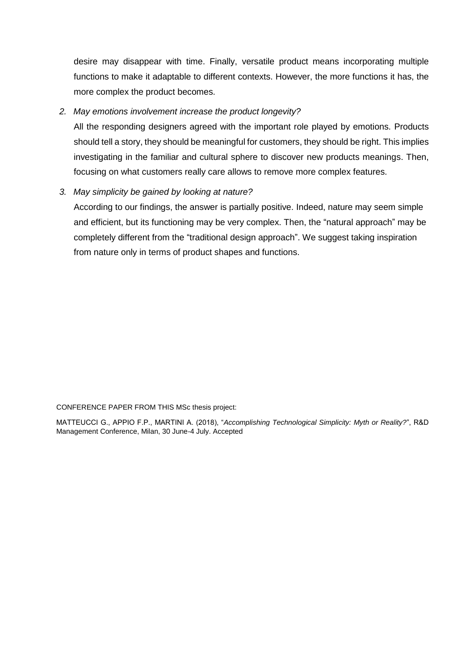desire may disappear with time. Finally, versatile product means incorporating multiple functions to make it adaptable to different contexts. However, the more functions it has, the more complex the product becomes.

# *2. May emotions involvement increase the product longevity?*

All the responding designers agreed with the important role played by emotions. Products should tell a story, they should be meaningful for customers, they should be right. This implies investigating in the familiar and cultural sphere to discover new products meanings. Then, focusing on what customers really care allows to remove more complex features.

# *3. May simplicity be gained by looking at nature?*

According to our findings, the answer is partially positive. Indeed, nature may seem simple and efficient, but its functioning may be very complex. Then, the "natural approach" may be completely different from the "traditional design approach". We suggest taking inspiration from nature only in terms of product shapes and functions.

CONFERENCE PAPER FROM THIS MSc thesis project:

MATTEUCCI G., APPIO F.P., MARTINI A. (2018), "*Accomplishing Technological Simplicity: Myth or Reality?*", R&D Management Conference, Milan, 30 June-4 July. Accepted